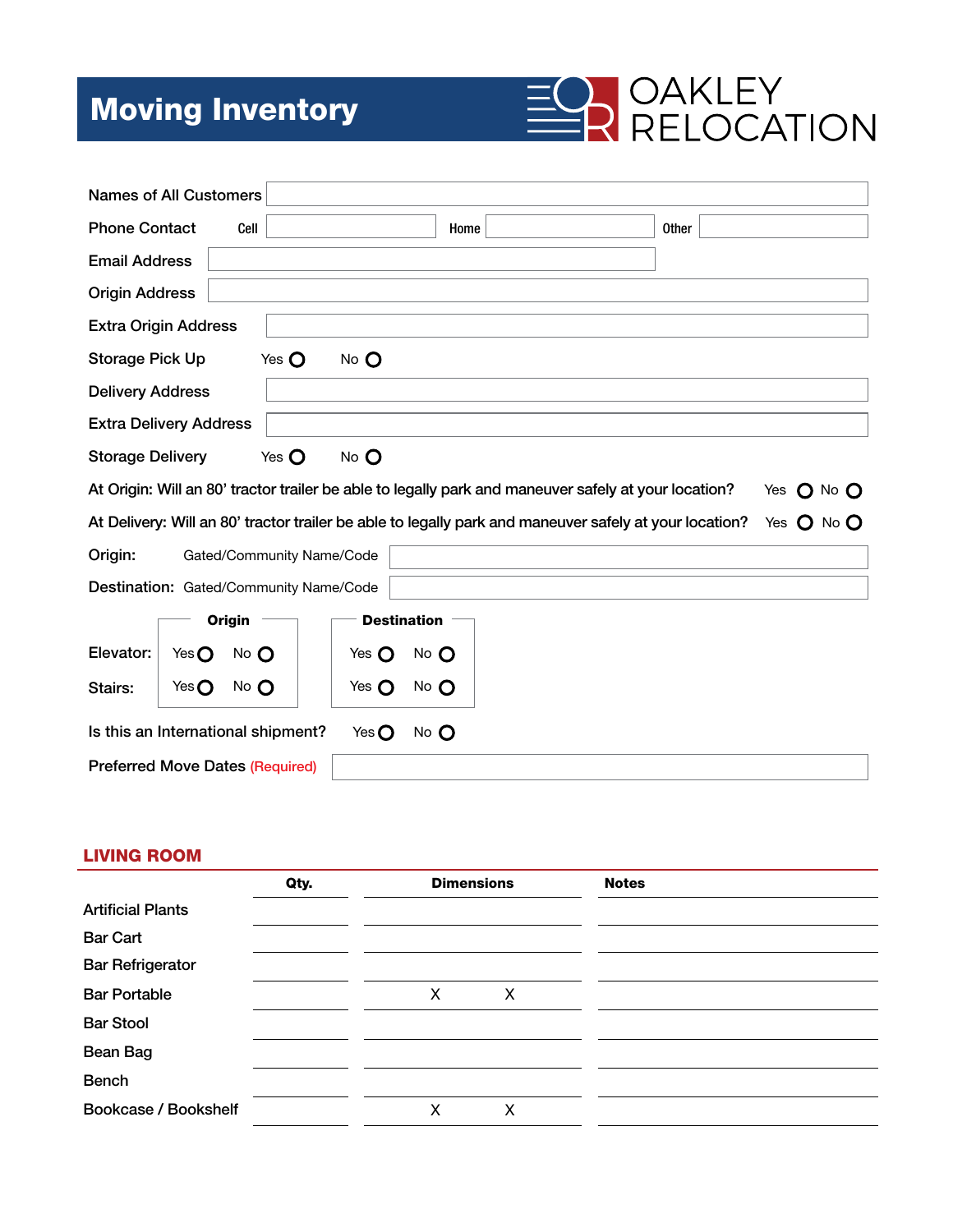# Moving Inventory



| <b>Names of All Customers</b>                                                                                      |                 |          |                           |                 |                    |  |  |                                                                                                        |            |
|--------------------------------------------------------------------------------------------------------------------|-----------------|----------|---------------------------|-----------------|--------------------|--|--|--------------------------------------------------------------------------------------------------------|------------|
| <b>Phone Contact</b>                                                                                               |                 | Cell     |                           |                 | Home               |  |  | <b>Other</b>                                                                                           |            |
| <b>Email Address</b>                                                                                               |                 |          |                           |                 |                    |  |  |                                                                                                        |            |
| <b>Origin Address</b>                                                                                              |                 |          |                           |                 |                    |  |  |                                                                                                        |            |
| <b>Extra Origin Address</b>                                                                                        |                 |          |                           |                 |                    |  |  |                                                                                                        |            |
| <b>Storage Pick Up</b>                                                                                             |                 |          | Yes $\mathbf O$           | No O            |                    |  |  |                                                                                                        |            |
| <b>Delivery Address</b>                                                                                            |                 |          |                           |                 |                    |  |  |                                                                                                        |            |
| <b>Extra Delivery Address</b>                                                                                      |                 |          |                           |                 |                    |  |  |                                                                                                        |            |
| <b>Storage Delivery</b>                                                                                            |                 |          | Yes $\mathbf O$           | No O            |                    |  |  |                                                                                                        |            |
| At Origin: Will an 80' tractor trailer be able to legally park and maneuver safely at your location?<br>Yes O No O |                 |          |                           |                 |                    |  |  |                                                                                                        |            |
|                                                                                                                    |                 |          |                           |                 |                    |  |  |                                                                                                        |            |
|                                                                                                                    |                 |          |                           |                 |                    |  |  | At Delivery: Will an 80' tractor trailer be able to legally park and maneuver safely at your location? | Yes O No O |
| Origin:                                                                                                            |                 |          | Gated/Community Name/Code |                 |                    |  |  |                                                                                                        |            |
| Destination: Gated/Community Name/Code                                                                             |                 |          |                           |                 |                    |  |  |                                                                                                        |            |
|                                                                                                                    |                 | Origin   |                           |                 | <b>Destination</b> |  |  |                                                                                                        |            |
| Elevator:                                                                                                          | Yes $\mathbf O$ | $No$ $O$ |                           | Yes $\mathbf O$ | $No$ $O$           |  |  |                                                                                                        |            |
| Stairs:                                                                                                            | Yes $\mathbf O$ | $No$ $O$ |                           | Yes $\mathbf O$ | $No$ $O$           |  |  |                                                                                                        |            |
| Is this an International shipment?                                                                                 |                 |          |                           | Yes $\mathbf O$ | No O               |  |  |                                                                                                        |            |

#### LIVING ROOM

|                          | Qty. |   | <b>Dimensions</b> | <b>Notes</b> |
|--------------------------|------|---|-------------------|--------------|
| <b>Artificial Plants</b> |      |   |                   |              |
| <b>Bar Cart</b>          |      |   |                   |              |
| <b>Bar Refrigerator</b>  |      |   |                   |              |
| <b>Bar Portable</b>      |      | X | X                 |              |
| <b>Bar Stool</b>         |      |   |                   |              |
| Bean Bag                 |      |   |                   |              |
| <b>Bench</b>             |      |   |                   |              |
| Bookcase / Bookshelf     |      | Χ | х                 |              |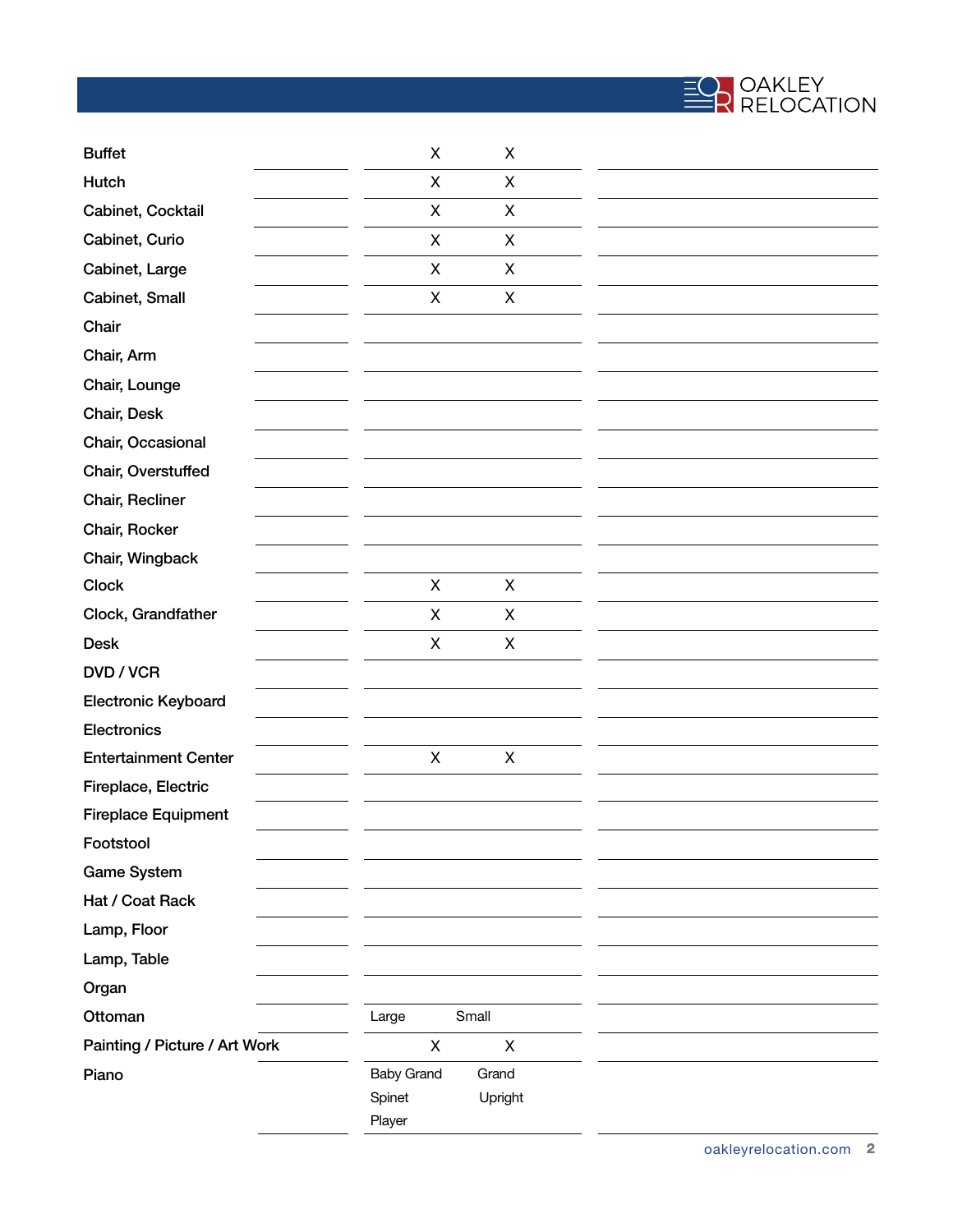

| <b>Buffet</b>                 | X                 | X              |  |
|-------------------------------|-------------------|----------------|--|
| Hutch                         | X                 | $\pmb{\times}$ |  |
| Cabinet, Cocktail             | X                 | $\pmb{\times}$ |  |
| Cabinet, Curio                | X                 | X              |  |
| Cabinet, Large                | $\mathsf{X}$      | X              |  |
| Cabinet, Small                | X                 | X              |  |
| Chair                         |                   |                |  |
| Chair, Arm                    |                   |                |  |
| Chair, Lounge                 |                   |                |  |
| Chair, Desk                   |                   |                |  |
| Chair, Occasional             |                   |                |  |
| Chair, Overstuffed            |                   |                |  |
| Chair, Recliner               |                   |                |  |
| Chair, Rocker                 |                   |                |  |
| Chair, Wingback               |                   |                |  |
| <b>Clock</b>                  | X                 | X              |  |
| Clock, Grandfather            | X                 | X              |  |
| <b>Desk</b>                   | X                 | X              |  |
| DVD / VCR                     |                   |                |  |
| Electronic Keyboard           |                   |                |  |
| Electronics                   |                   |                |  |
| <b>Entertainment Center</b>   | X                 | X              |  |
| Fireplace, Electric           |                   |                |  |
| <b>Fireplace Equipment</b>    |                   |                |  |
| Footstool                     |                   |                |  |
| <b>Game System</b>            |                   |                |  |
| Hat / Coat Rack               |                   |                |  |
| Lamp, Floor                   |                   |                |  |
| Lamp, Table                   |                   |                |  |
| Organ                         |                   |                |  |
| Ottoman                       | Large             | Small          |  |
| Painting / Picture / Art Work | X                 | X              |  |
| Piano                         | <b>Baby Grand</b> | Grand          |  |
|                               | Spinet            | Upright        |  |
|                               | Player            |                |  |

 $\overline{a}$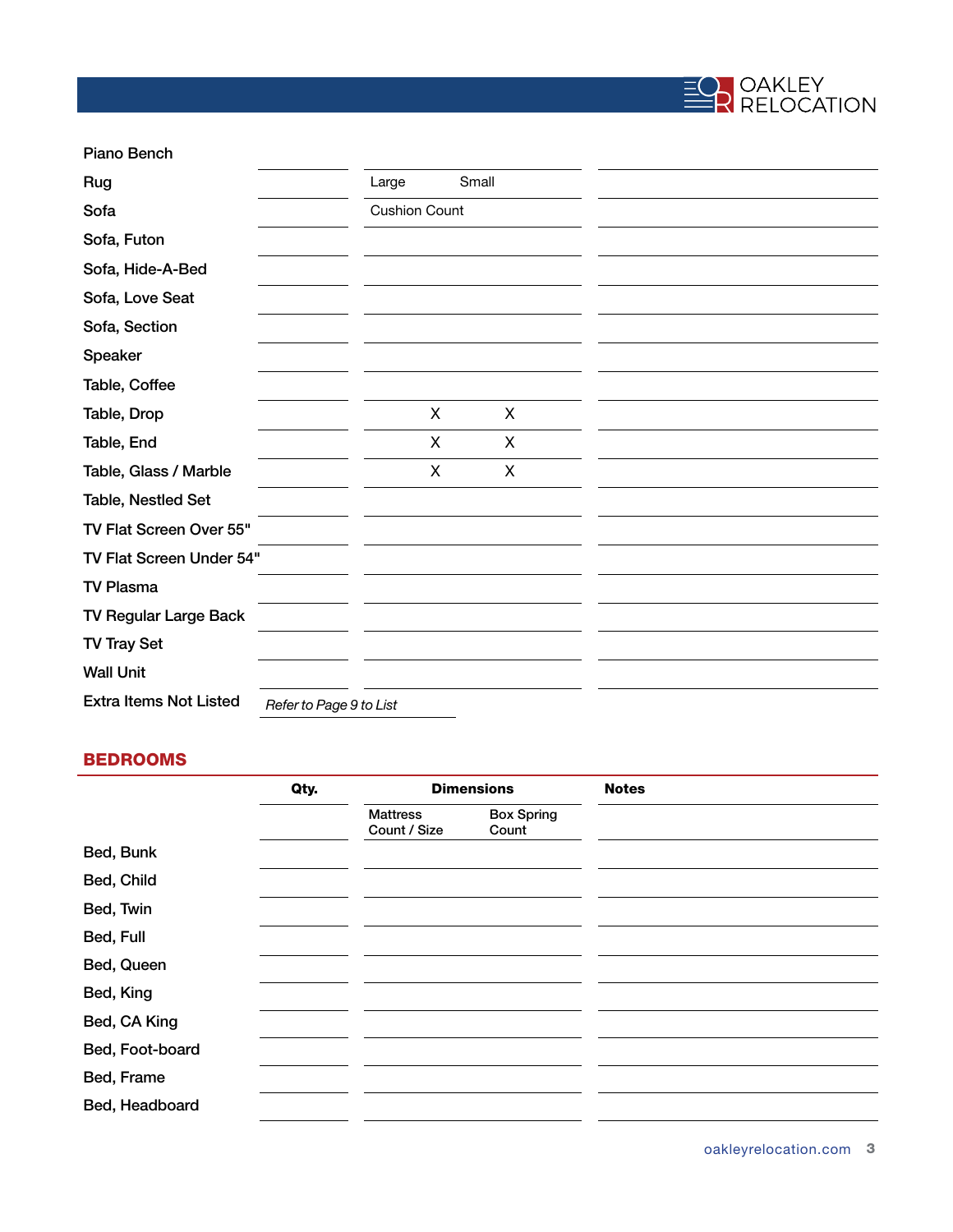

| Piano Bench                   |                         |                      |       |   |  |  |
|-------------------------------|-------------------------|----------------------|-------|---|--|--|
| Rug                           |                         | Large                | Small |   |  |  |
| Sofa                          |                         | <b>Cushion Count</b> |       |   |  |  |
| Sofa, Futon                   |                         |                      |       |   |  |  |
| Sofa, Hide-A-Bed              |                         |                      |       |   |  |  |
| Sofa, Love Seat               |                         |                      |       |   |  |  |
| Sofa, Section                 |                         |                      |       |   |  |  |
| Speaker                       |                         |                      |       |   |  |  |
| Table, Coffee                 |                         |                      |       |   |  |  |
| Table, Drop                   |                         | X                    |       | X |  |  |
| Table, End                    |                         | X                    |       | X |  |  |
| Table, Glass / Marble         |                         | X                    |       | X |  |  |
| Table, Nestled Set            |                         |                      |       |   |  |  |
| TV Flat Screen Over 55"       |                         |                      |       |   |  |  |
| TV Flat Screen Under 54"      |                         |                      |       |   |  |  |
| <b>TV Plasma</b>              |                         |                      |       |   |  |  |
| TV Regular Large Back         |                         |                      |       |   |  |  |
| <b>TV Tray Set</b>            |                         |                      |       |   |  |  |
| <b>Wall Unit</b>              |                         |                      |       |   |  |  |
| <b>Extra Items Not Listed</b> | Refer to Page 9 to List |                      |       |   |  |  |

# BEDROOMS

|                 | Qty. |                                 | <b>Dimensions</b>          | <b>Notes</b> |
|-----------------|------|---------------------------------|----------------------------|--------------|
|                 |      | <b>Mattress</b><br>Count / Size | <b>Box Spring</b><br>Count |              |
| Bed, Bunk       |      |                                 |                            |              |
| Bed, Child      |      |                                 |                            |              |
| Bed, Twin       |      |                                 |                            |              |
| Bed, Full       |      |                                 |                            |              |
| Bed, Queen      |      |                                 |                            |              |
| Bed, King       |      |                                 |                            |              |
| Bed, CA King    |      |                                 |                            |              |
| Bed, Foot-board |      |                                 |                            |              |
| Bed, Frame      |      |                                 |                            |              |
| Bed, Headboard  |      |                                 |                            |              |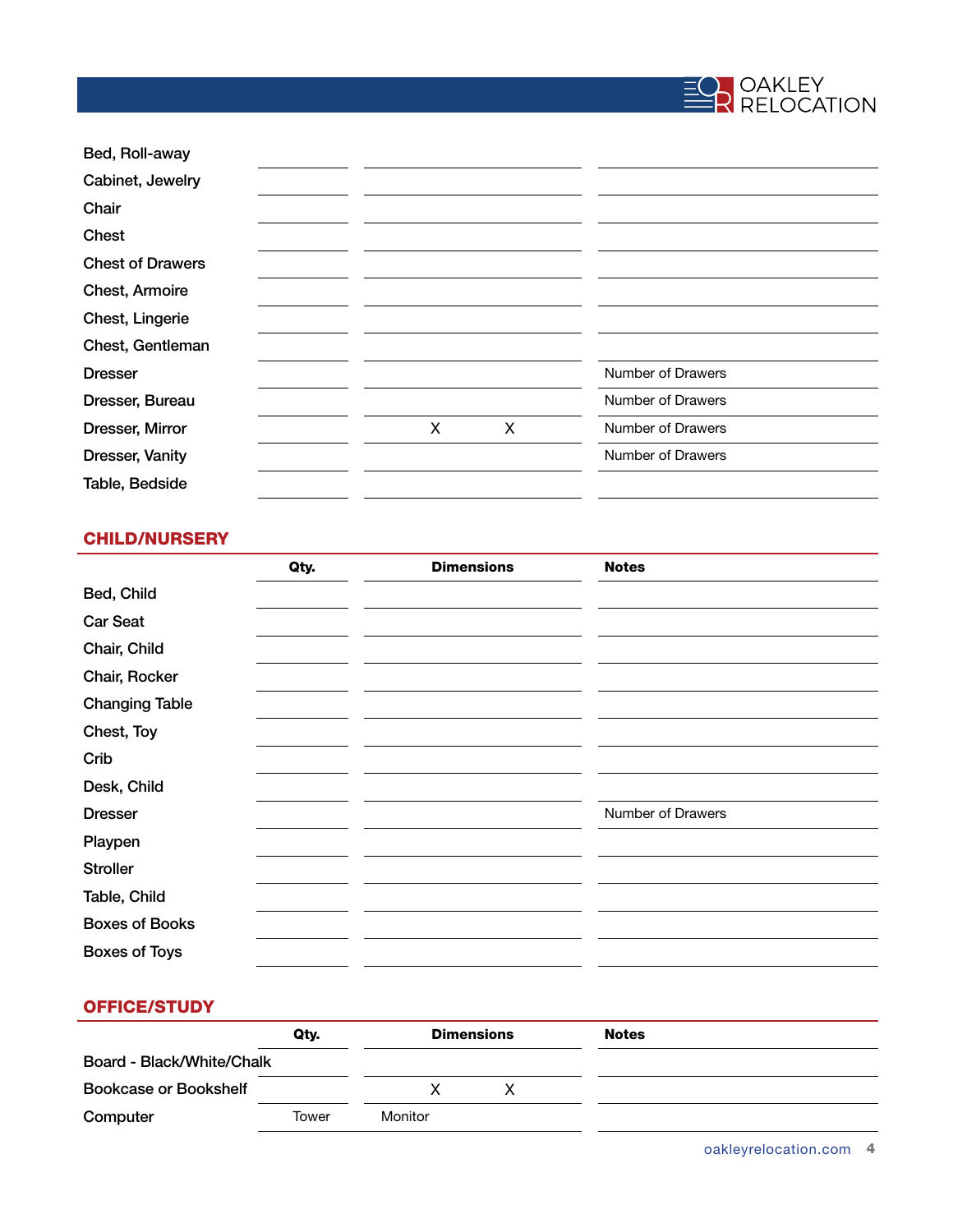

| Bed, Roll-away          |   |   |                   |  |
|-------------------------|---|---|-------------------|--|
| Cabinet, Jewelry        |   |   |                   |  |
| Chair                   |   |   |                   |  |
| Chest                   |   |   |                   |  |
| <b>Chest of Drawers</b> |   |   |                   |  |
| Chest, Armoire          |   |   |                   |  |
| Chest, Lingerie         |   |   |                   |  |
| Chest, Gentleman        |   |   |                   |  |
| <b>Dresser</b>          |   |   | Number of Drawers |  |
| Dresser, Bureau         |   |   | Number of Drawers |  |
| Dresser, Mirror         | X | X | Number of Drawers |  |
| Dresser, Vanity         |   |   | Number of Drawers |  |
| Table, Bedside          |   |   |                   |  |
|                         |   |   |                   |  |

### CHILD/NURSERY

|                       | Qty. | <b>Dimensions</b> | <b>Notes</b>      |
|-----------------------|------|-------------------|-------------------|
| Bed, Child            |      |                   |                   |
| <b>Car Seat</b>       |      |                   |                   |
| Chair, Child          |      |                   |                   |
| Chair, Rocker         |      |                   |                   |
| <b>Changing Table</b> |      |                   |                   |
| Chest, Toy            |      |                   |                   |
| Crib                  |      |                   |                   |
| Desk, Child           |      |                   |                   |
| <b>Dresser</b>        |      |                   | Number of Drawers |
| Playpen               |      |                   |                   |
| <b>Stroller</b>       |      |                   |                   |
| Table, Child          |      |                   |                   |
| <b>Boxes of Books</b> |      |                   |                   |
| <b>Boxes of Toys</b>  |      |                   |                   |

## OFFICE/STUDY

|                              | Qty.  |         | <b>Dimensions</b> | <b>Notes</b> |  |
|------------------------------|-------|---------|-------------------|--------------|--|
| Board - Black/White/Chalk    |       |         |                   |              |  |
| <b>Bookcase or Bookshelf</b> |       |         |                   |              |  |
| Computer                     | Tower | Monitor |                   |              |  |

oakleyrelocation.com 4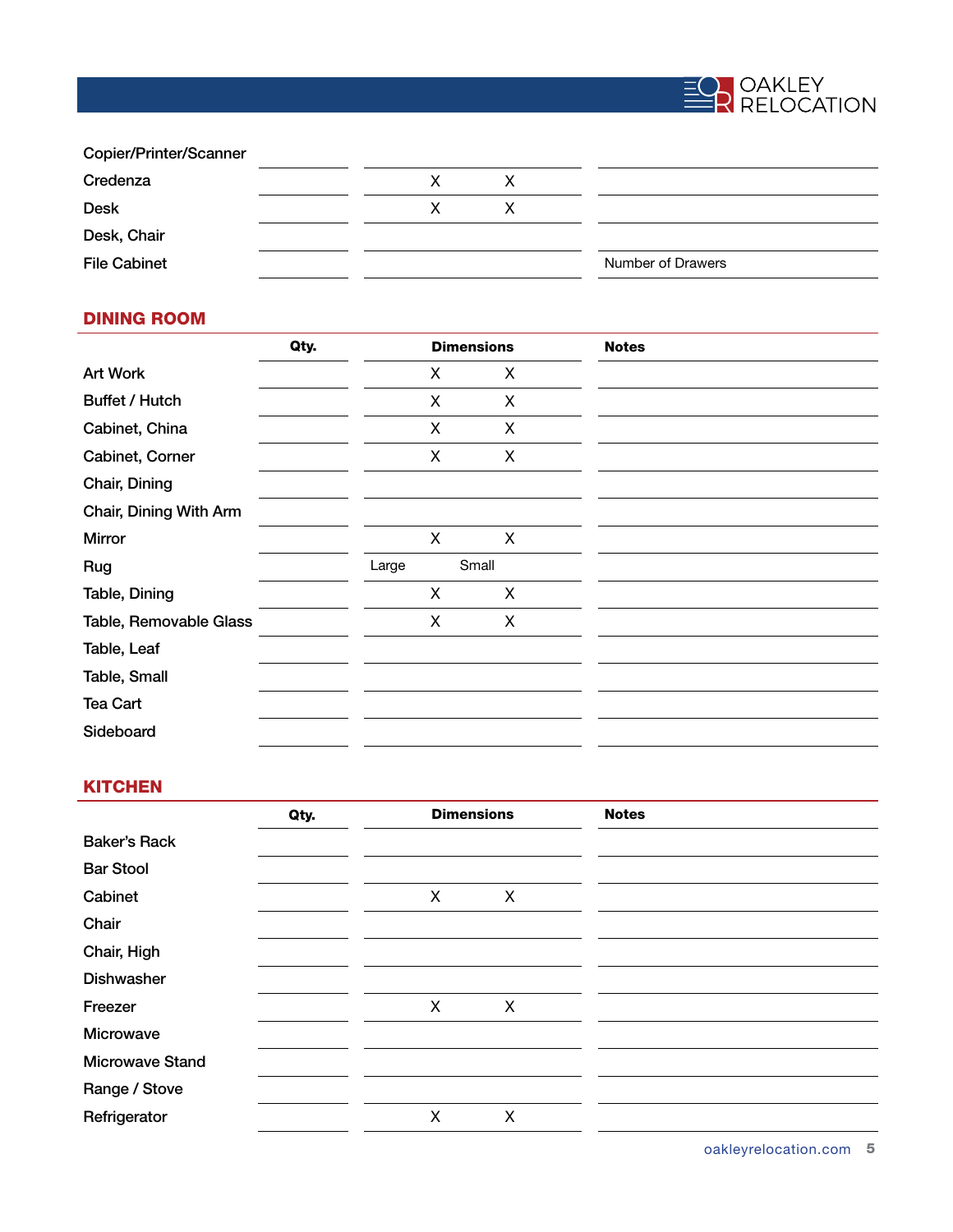

| Copier/Printer/Scanner |   |   |                   |  |
|------------------------|---|---|-------------------|--|
| Credenza               | X | х |                   |  |
| <b>Desk</b>            | X |   |                   |  |
| Desk, Chair            |   |   |                   |  |
| <b>File Cabinet</b>    |   |   | Number of Drawers |  |

#### DINING ROOM

| Qty. | <b>Dimensions</b> |       | <b>Notes</b>                               |  |
|------|-------------------|-------|--------------------------------------------|--|
|      | X                 |       |                                            |  |
|      | X                 |       |                                            |  |
|      | $\mathsf{X}$      |       |                                            |  |
|      | X                 |       |                                            |  |
|      |                   |       |                                            |  |
|      |                   |       |                                            |  |
|      | X                 |       |                                            |  |
|      | Large             | Small |                                            |  |
|      | X                 |       |                                            |  |
|      | X                 |       |                                            |  |
|      |                   |       |                                            |  |
|      |                   |       |                                            |  |
|      |                   |       |                                            |  |
|      |                   |       |                                            |  |
|      |                   |       | X<br>X<br>$\mathsf{X}$<br>X<br>X<br>X<br>X |  |

#### **KITCHEN**

|                        | Qty. | <b>Dimensions</b> |   | <b>Notes</b> |
|------------------------|------|-------------------|---|--------------|
| <b>Baker's Rack</b>    |      |                   |   |              |
| <b>Bar Stool</b>       |      |                   |   |              |
| Cabinet                |      | X                 | X |              |
| Chair                  |      |                   |   |              |
| Chair, High            |      |                   |   |              |
| <b>Dishwasher</b>      |      |                   |   |              |
| Freezer                |      | X                 | X |              |
| Microwave              |      |                   |   |              |
| <b>Microwave Stand</b> |      |                   |   |              |
| Range / Stove          |      |                   |   |              |
| Refrigerator           |      | X                 | X |              |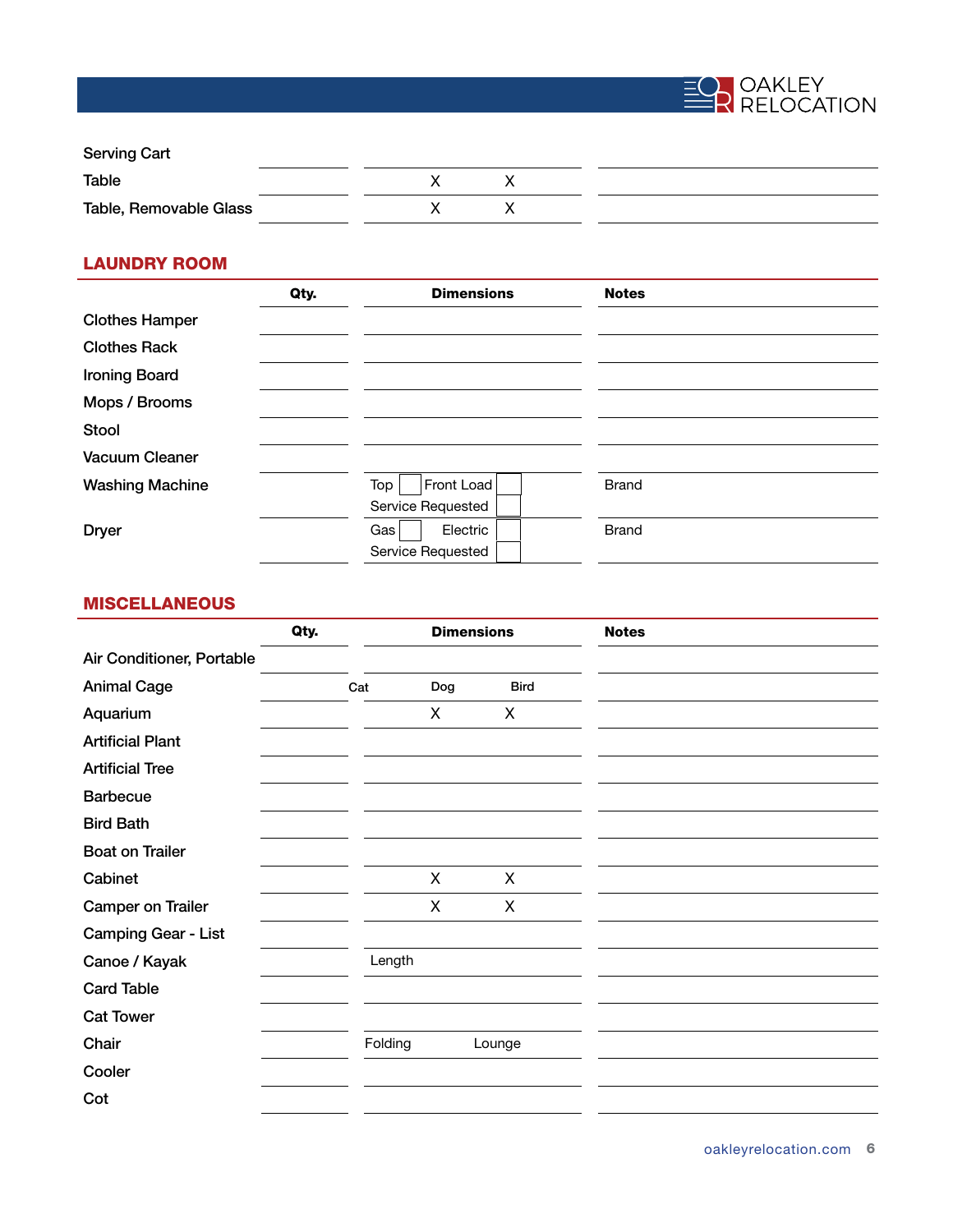

| <b>Serving Cart</b>    |  |  |  |
|------------------------|--|--|--|
| Table                  |  |  |  |
| Table, Removable Glass |  |  |  |

# LAUNDRY ROOM

|                        | Qty. | <b>Dimensions</b> | <b>Notes</b> |
|------------------------|------|-------------------|--------------|
| <b>Clothes Hamper</b>  |      |                   |              |
| <b>Clothes Rack</b>    |      |                   |              |
| <b>Ironing Board</b>   |      |                   |              |
| Mops / Brooms          |      |                   |              |
| <b>Stool</b>           |      |                   |              |
| <b>Vacuum Cleaner</b>  |      |                   |              |
| <b>Washing Machine</b> |      | Front Load<br>Top | <b>Brand</b> |
|                        |      | Service Requested |              |
| <b>Dryer</b>           |      | Electric<br>Gas   | <b>Brand</b> |
|                        |      | Service Requested |              |

# MISCELLANEOUS

|                            | Qty. |         |     | <b>Dimensions</b> | <b>Notes</b> |
|----------------------------|------|---------|-----|-------------------|--------------|
| Air Conditioner, Portable  |      |         |     |                   |              |
| <b>Animal Cage</b>         |      | Cat     | Dog | <b>Bird</b>       |              |
| Aquarium                   |      |         | X   | X                 |              |
| <b>Artificial Plant</b>    |      |         |     |                   |              |
| <b>Artificial Tree</b>     |      |         |     |                   |              |
| <b>Barbecue</b>            |      |         |     |                   |              |
| <b>Bird Bath</b>           |      |         |     |                   |              |
| <b>Boat on Trailer</b>     |      |         |     |                   |              |
| Cabinet                    |      |         | X   | X                 |              |
| <b>Camper on Trailer</b>   |      |         | X   | X                 |              |
| <b>Camping Gear - List</b> |      |         |     |                   |              |
| Canoe / Kayak              |      | Length  |     |                   |              |
| <b>Card Table</b>          |      |         |     |                   |              |
| <b>Cat Tower</b>           |      |         |     |                   |              |
| Chair                      |      | Folding |     | Lounge            |              |
| Cooler                     |      |         |     |                   |              |
| Cot                        |      |         |     |                   |              |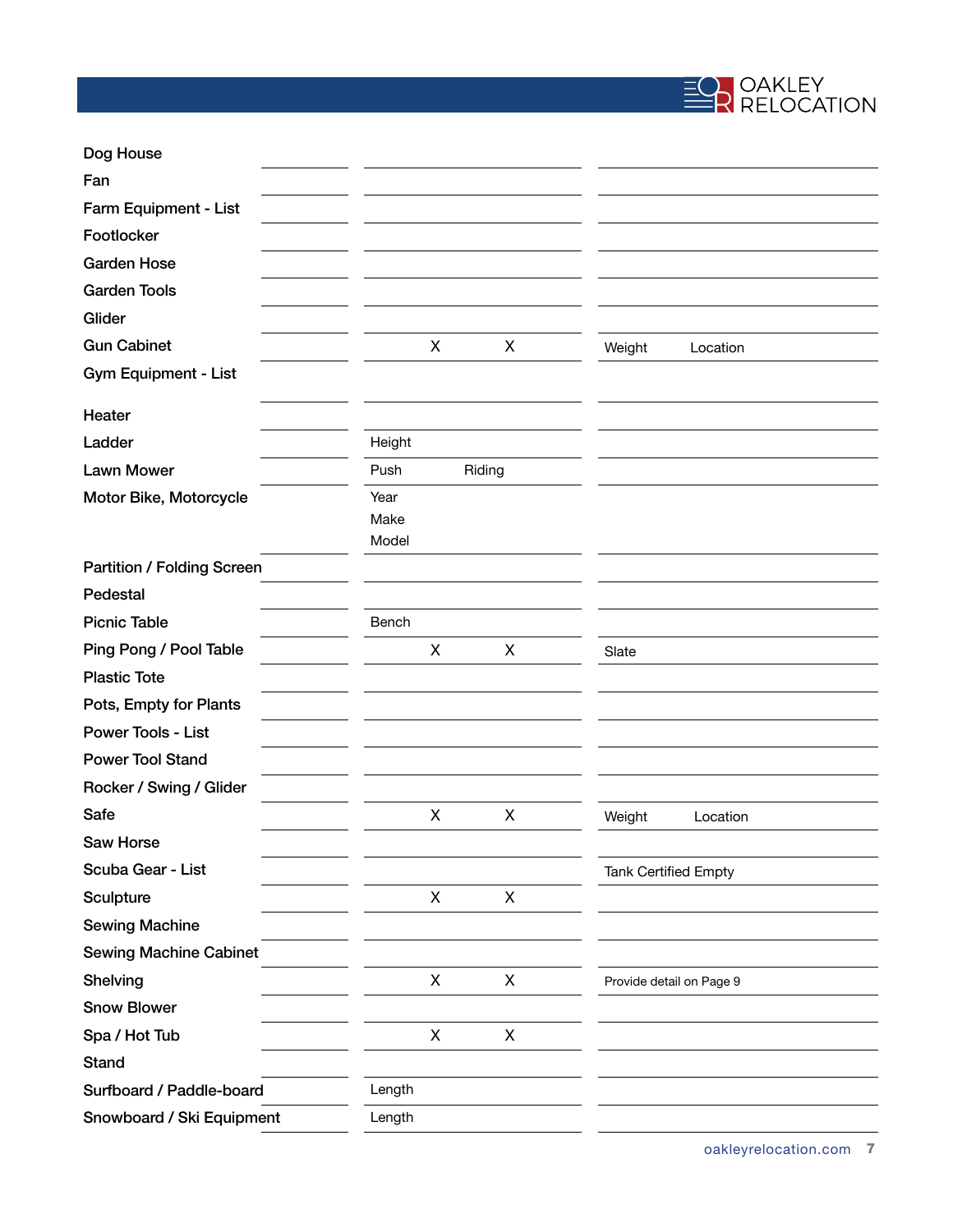

| Dog House                     |                       |        |                             |                          |  |
|-------------------------------|-----------------------|--------|-----------------------------|--------------------------|--|
| Fan                           |                       |        |                             |                          |  |
| Farm Equipment - List         |                       |        |                             |                          |  |
| Footlocker                    |                       |        |                             |                          |  |
| <b>Garden Hose</b>            |                       |        |                             |                          |  |
| <b>Garden Tools</b>           |                       |        |                             |                          |  |
| Glider                        |                       |        |                             |                          |  |
| <b>Gun Cabinet</b>            | X                     | X      | Weight                      | Location                 |  |
| Gym Equipment - List          |                       |        |                             |                          |  |
| Heater                        |                       |        |                             |                          |  |
| Ladder                        | Height                |        |                             |                          |  |
| <b>Lawn Mower</b>             | Push                  | Riding |                             |                          |  |
| Motor Bike, Motorcycle        | Year<br>Make<br>Model |        |                             |                          |  |
| Partition / Folding Screen    |                       |        |                             |                          |  |
| Pedestal                      |                       |        |                             |                          |  |
| <b>Picnic Table</b>           | Bench                 |        |                             |                          |  |
| Ping Pong / Pool Table        | X                     | X      | Slate                       |                          |  |
| <b>Plastic Tote</b>           |                       |        |                             |                          |  |
| Pots, Empty for Plants        |                       |        |                             |                          |  |
| Power Tools - List            |                       |        |                             |                          |  |
| <b>Power Tool Stand</b>       |                       |        |                             |                          |  |
| Rocker / Swing / Glider       |                       |        |                             |                          |  |
| Safe                          | X                     | X      | Weight                      | Location                 |  |
| Saw Horse                     |                       |        |                             |                          |  |
| Scuba Gear - List             |                       |        | <b>Tank Certified Empty</b> |                          |  |
| Sculpture                     | X                     | X      |                             |                          |  |
| <b>Sewing Machine</b>         |                       |        |                             |                          |  |
| <b>Sewing Machine Cabinet</b> |                       |        |                             |                          |  |
| Shelving                      | X                     | X      |                             | Provide detail on Page 9 |  |
| <b>Snow Blower</b>            |                       |        |                             |                          |  |
| Spa / Hot Tub                 | X                     | X      |                             |                          |  |
| Stand                         |                       |        |                             |                          |  |
| Surfboard / Paddle-board      | Length                |        |                             |                          |  |
| Snowboard / Ski Equipment     | Length                |        |                             |                          |  |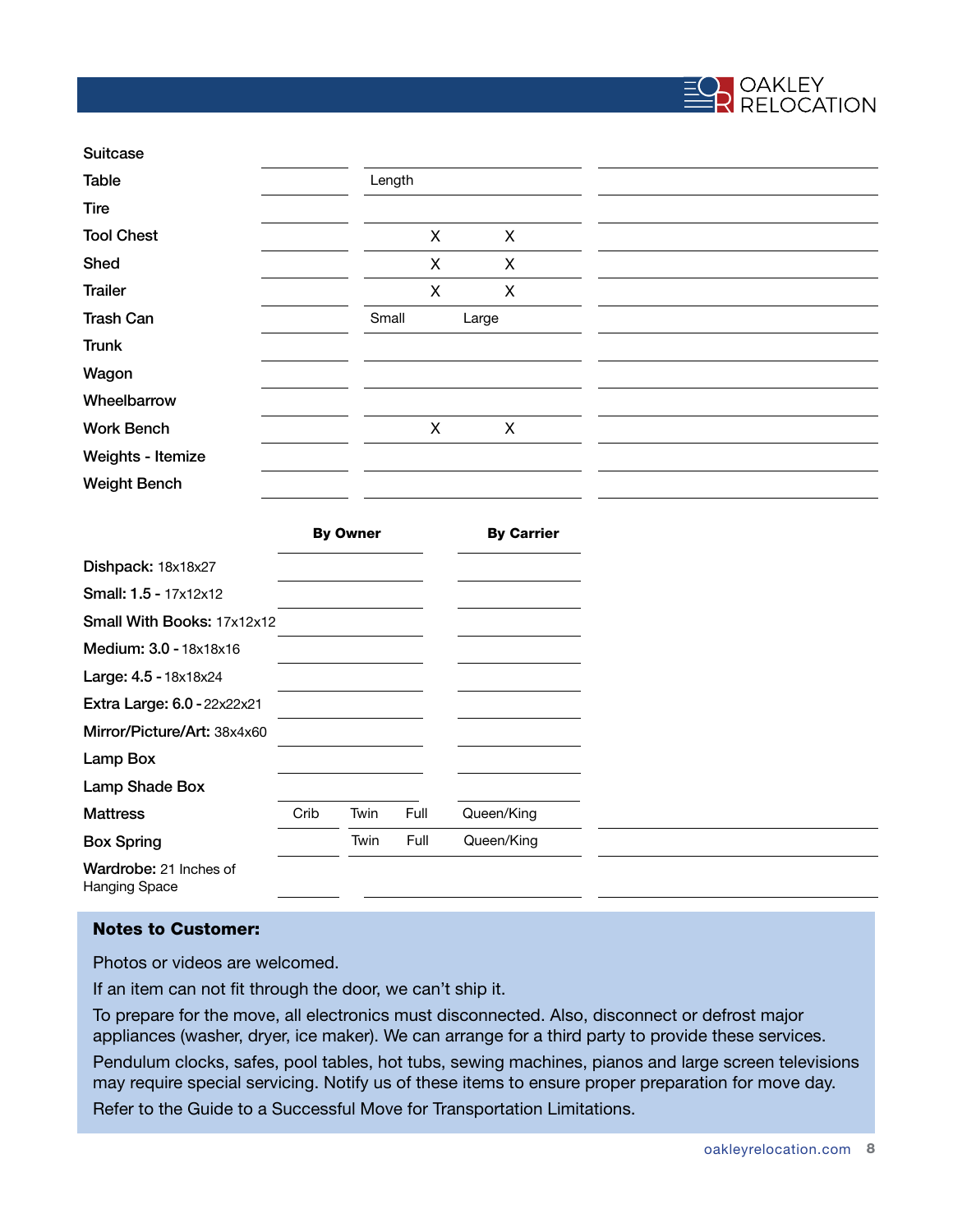

| <b>Suitcase</b>     |        |   |       |  |  |  |
|---------------------|--------|---|-------|--|--|--|
| Table               | Length |   |       |  |  |  |
| Tire                |        |   |       |  |  |  |
| <b>Tool Chest</b>   |        | X | X     |  |  |  |
| Shed                |        | X | X     |  |  |  |
| <b>Trailer</b>      |        | X | X     |  |  |  |
| <b>Trash Can</b>    | Small  |   | Large |  |  |  |
| <b>Trunk</b>        |        |   |       |  |  |  |
| Wagon               |        |   |       |  |  |  |
| Wheelbarrow         |        |   |       |  |  |  |
| <b>Work Bench</b>   |        | X | X     |  |  |  |
| Weights - Itemize   |        |   |       |  |  |  |
| <b>Weight Bench</b> |        |   |       |  |  |  |

|                                                |      | <b>By Owner</b> |      | <b>By Carrier</b> |
|------------------------------------------------|------|-----------------|------|-------------------|
| Dishpack: 18x18x27                             |      |                 |      |                   |
| <b>Small: 1.5 - 17x12x12</b>                   |      |                 |      |                   |
| Small With Books: 17x12x12                     |      |                 |      |                   |
| Medium: 3.0 - 18x18x16                         |      |                 |      |                   |
| Large: 4.5 - 18x18x24                          |      |                 |      |                   |
| <b>Extra Large: 6.0 - 22x22x21</b>             |      |                 |      |                   |
| Mirror/Picture/Art: 38x4x60                    |      |                 |      |                   |
| Lamp Box                                       |      |                 |      |                   |
| Lamp Shade Box                                 |      |                 |      |                   |
| <b>Mattress</b>                                | Crib | Twin            | Full | Queen/King        |
| <b>Box Spring</b>                              |      | Twin            | Full | Queen/King        |
| Wardrobe: 21 Inches of<br><b>Hanging Space</b> |      |                 |      |                   |

#### Notes to Customer:

Photos or videos are welcomed.

If an item can not fit through the door, we can't ship it.

To prepare for the move, all electronics must disconnected. Also, disconnect or defrost major appliances (washer, dryer, ice maker). We can arrange for a third party to provide these services. Pendulum clocks, safes, pool tables, hot tubs, sewing machines, pianos and large screen televisions may require special servicing. Notify us of these items to ensure proper preparation for move day. Refer to the Guide to a Successful Move for Transportation Limitations.